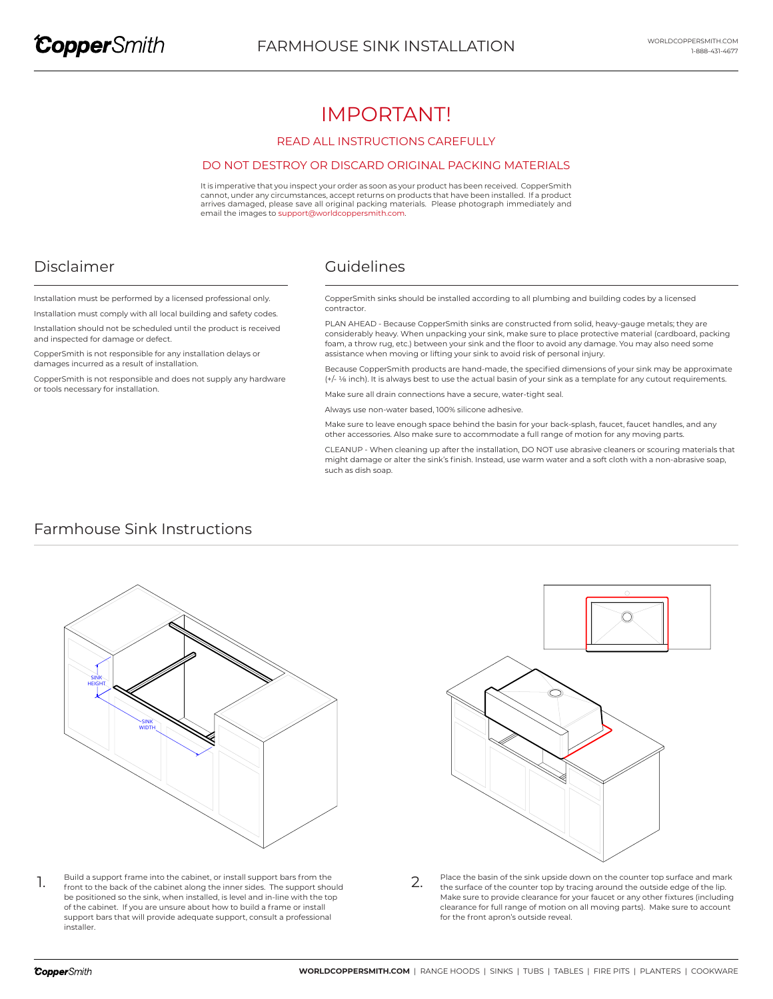# IMPORTANT!

#### READ ALL INSTRUCTIONS CAREFULLY

#### DO NOT DESTROY OR DISCARD ORIGINAL PACKING MATERIALS

It is imperative that you inspect your order as soon as your product has been received. CopperSmith cannot, under any circumstances, accept returns on products that have been installed. If a product arrives damaged, please save all original packing materials. Please photograph immediately and email the images to support@worldcoppersmith.com.

## Disclaimer

and inspected for damage or defect.

or tools necessary for installation.

damages incurred as a result of installation.

### Guidelines

CopperSmith sinks should be installed according to all plumbing and building codes by a licensed contractor.

PLAN AHEAD - Because CopperSmith sinks are constructed from solid, heavy-gauge metals; they are considerably heavy. When unpacking your sink, make sure to place protective material (cardboard, packing foam, a throw rug, etc.) between your sink and the floor to avoid any damage. You may also need some assistance when moving or lifting your sink to avoid risk of personal injury.

Because CopperSmith products are hand-made, the specified dimensions of your sink may be approximate (+/- 1/8 inch). It is always best to use the actual basin of your sink as a template for any cutout requirements.

Make sure all drain connections have a secure, water-tight seal.

Always use non-water based, 100% silicone adhesive.

Make sure to leave enough space behind the basin for your back-splash, faucet, faucet handles, and any other accessories. Also make sure to accommodate a full range of motion for any moving parts.

CLEANUP - When cleaning up after the installation, DO NOT use abrasive cleaners or scouring materials that might damage or alter the sink's finish. Instead, use warm water and a soft cloth with a non-abrasive soap, such as dish soap.

### Farmhouse Sink Instructions

Installation must be performed by a licensed professional only. Installation must comply with all local building and safety codes. Installation should not be scheduled until the product is received

CopperSmith is not responsible for any installation delays or

CopperSmith is not responsible and does not supply any hardware



Build a support frame into the cabinet, or install support bars from the The stuil of a support frame into the cabinet, or install support bars from the support should  $\sim 2.$ be positioned so the sink, when installed, is level and in-line with the top of the cabinet. If you are unsure about how to build a frame or install support bars that will provide adequate support, consult a professional installer.



Place the basin of the sink upside down on the counter top surface and mark the surface of the counter top by tracing around the outside edge of the lip. Make sure to provide clearance for your faucet or any other fixtures (including clearance for full range of motion on all moving parts). Make sure to account for the front apron's outside reveal.